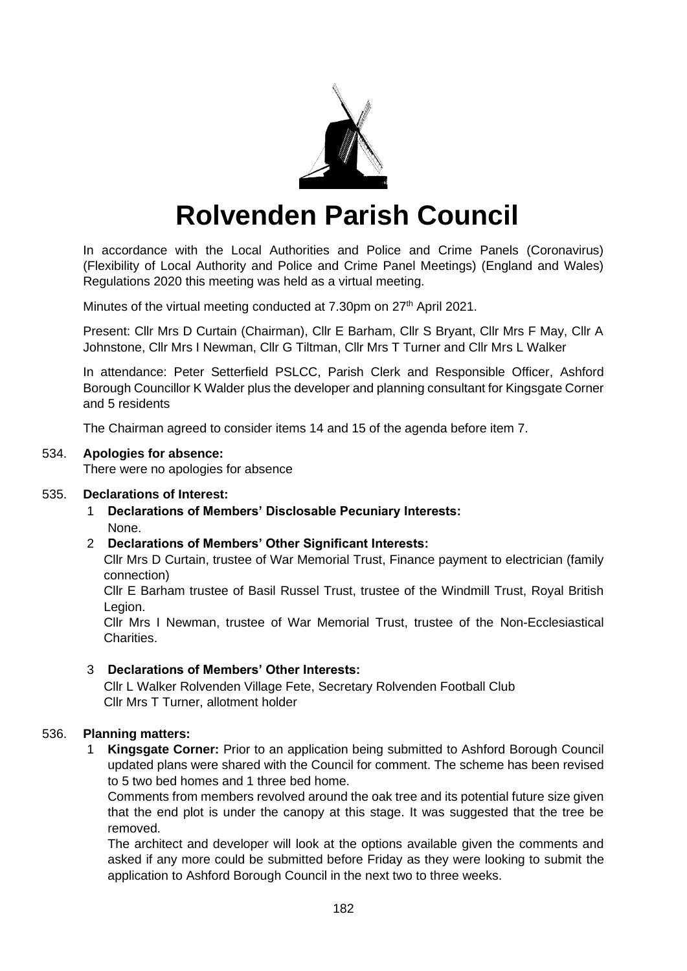

# **Rolvenden Parish Council**

In accordance with the Local Authorities and Police and Crime Panels (Coronavirus) (Flexibility of Local Authority and Police and Crime Panel Meetings) (England and Wales) Regulations 2020 this meeting was held as a virtual meeting.

Minutes of the virtual meeting conducted at 7.30pm on 27<sup>th</sup> April 2021.

Present: Cllr Mrs D Curtain (Chairman), Cllr E Barham, Cllr S Bryant, Cllr Mrs F May, Cllr A Johnstone, Cllr Mrs I Newman, Cllr G Tiltman, Cllr Mrs T Turner and Cllr Mrs L Walker

In attendance: Peter Setterfield PSLCC, Parish Clerk and Responsible Officer, Ashford Borough Councillor K Walder plus the developer and planning consultant for Kingsgate Corner and 5 residents

The Chairman agreed to consider items 14 and 15 of the agenda before item 7.

#### 534. **Apologies for absence:**

There were no apologies for absence

#### 535. **Declarations of Interest:**

- 1 **Declarations of Members' Disclosable Pecuniary Interests:** None.
- 2 **Declarations of Members' Other Significant Interests:**

Cllr Mrs D Curtain, trustee of War Memorial Trust, Finance payment to electrician (family connection)

Cllr E Barham trustee of Basil Russel Trust, trustee of the Windmill Trust, Royal British Legion.

Cllr Mrs I Newman, trustee of War Memorial Trust, trustee of the Non-Ecclesiastical Charities.

#### 3 **Declarations of Members' Other Interests:**

Cllr L Walker Rolvenden Village Fete, Secretary Rolvenden Football Club Cllr Mrs T Turner, allotment holder

#### 536. **Planning matters:**

1 **Kingsgate Corner:** Prior to an application being submitted to Ashford Borough Council updated plans were shared with the Council for comment. The scheme has been revised to 5 two bed homes and 1 three bed home.

Comments from members revolved around the oak tree and its potential future size given that the end plot is under the canopy at this stage. It was suggested that the tree be removed.

The architect and developer will look at the options available given the comments and asked if any more could be submitted before Friday as they were looking to submit the application to Ashford Borough Council in the next two to three weeks.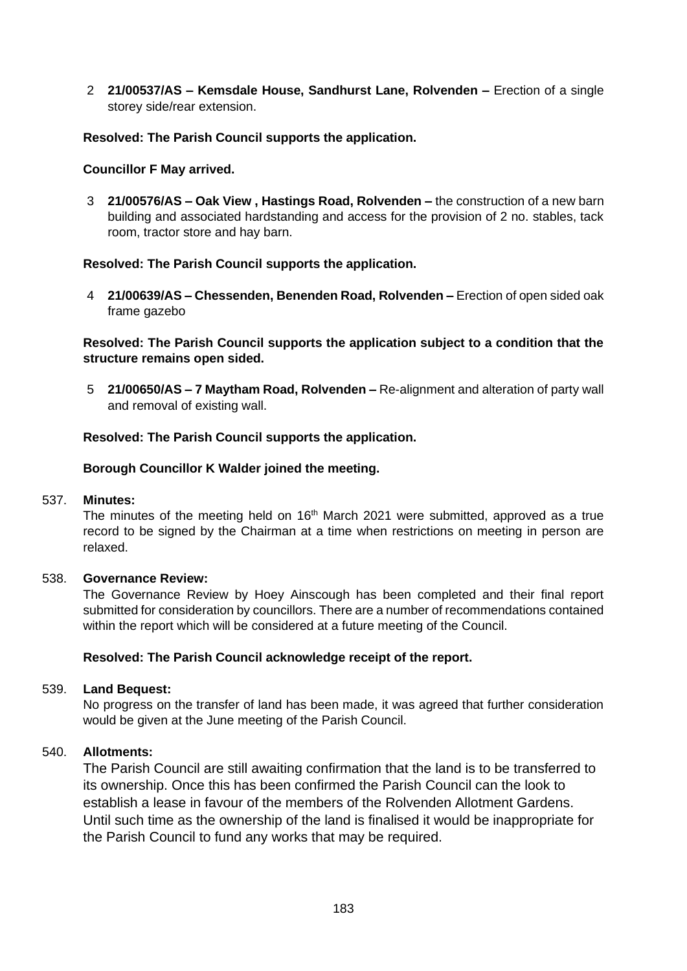2 **21/00537/AS – Kemsdale House, Sandhurst Lane, Rolvenden –** Erection of a single storey side/rear extension.

## **Resolved: The Parish Council supports the application.**

#### **Councillor F May arrived.**

3 **21/00576/AS – Oak View , Hastings Road, Rolvenden –** the construction of a new barn building and associated hardstanding and access for the provision of 2 no. stables, tack room, tractor store and hay barn.

#### **Resolved: The Parish Council supports the application.**

4 **21/00639/AS – Chessenden, Benenden Road, Rolvenden –** Erection of open sided oak frame gazebo

**Resolved: The Parish Council supports the application subject to a condition that the structure remains open sided.**

5 **21/00650/AS – 7 Maytham Road, Rolvenden –** Re-alignment and alteration of party wall and removal of existing wall.

#### **Resolved: The Parish Council supports the application.**

#### **Borough Councillor K Walder joined the meeting.**

#### 537. **Minutes:**

The minutes of the meeting held on  $16<sup>th</sup>$  March 2021 were submitted, approved as a true record to be signed by the Chairman at a time when restrictions on meeting in person are relaxed.

#### 538. **Governance Review:**

The Governance Review by Hoey Ainscough has been completed and their final report submitted for consideration by councillors. There are a number of recommendations contained within the report which will be considered at a future meeting of the Council.

#### **Resolved: The Parish Council acknowledge receipt of the report.**

#### 539. **Land Bequest:**

No progress on the transfer of land has been made, it was agreed that further consideration would be given at the June meeting of the Parish Council.

#### 540. **Allotments:**

The Parish Council are still awaiting confirmation that the land is to be transferred to its ownership. Once this has been confirmed the Parish Council can the look to establish a lease in favour of the members of the Rolvenden Allotment Gardens. Until such time as the ownership of the land is finalised it would be inappropriate for the Parish Council to fund any works that may be required.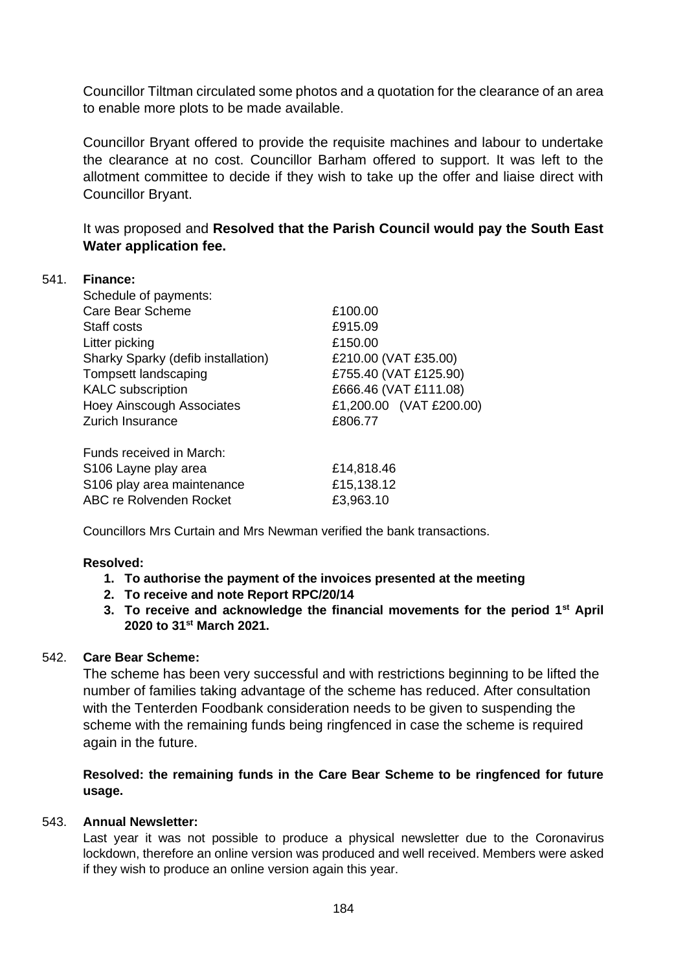Councillor Tiltman circulated some photos and a quotation for the clearance of an area to enable more plots to be made available.

Councillor Bryant offered to provide the requisite machines and labour to undertake the clearance at no cost. Councillor Barham offered to support. It was left to the allotment committee to decide if they wish to take up the offer and liaise direct with Councillor Bryant.

It was proposed and **Resolved that the Parish Council would pay the South East Water application fee.**

#### 541. **Finance:**

| Schedule of payments:              |                         |
|------------------------------------|-------------------------|
| Care Bear Scheme                   | £100.00                 |
| Staff costs                        | £915.09                 |
| Litter picking                     | £150.00                 |
| Sharky Sparky (defib installation) | £210.00 (VAT £35.00)    |
| Tompsett landscaping               | £755.40 (VAT £125.90)   |
| <b>KALC</b> subscription           | £666.46 (VAT £111.08)   |
| <b>Hoey Ainscough Associates</b>   | £1,200.00 (VAT £200.00) |
| <b>Zurich Insurance</b>            | £806.77                 |
|                                    |                         |
| Funds received in March:           |                         |
| S <sub>106</sub> Layne play area   | £14,818.46              |
| S106 play area maintenance         | £15,138.12              |
| <b>ABC re Rolvenden Rocket</b>     | £3,963.10               |

Councillors Mrs Curtain and Mrs Newman verified the bank transactions.

#### **Resolved:**

- **1. To authorise the payment of the invoices presented at the meeting**
- **2. To receive and note Report RPC/20/14**
- **3. To receive and acknowledge the financial movements for the period 1st April 2020 to 31st March 2021.**

# 542. **Care Bear Scheme:**

The scheme has been very successful and with restrictions beginning to be lifted the number of families taking advantage of the scheme has reduced. After consultation with the Tenterden Foodbank consideration needs to be given to suspending the scheme with the remaining funds being ringfenced in case the scheme is required again in the future.

**Resolved: the remaining funds in the Care Bear Scheme to be ringfenced for future usage.**

#### 543. **Annual Newsletter:**

Last year it was not possible to produce a physical newsletter due to the Coronavirus lockdown, therefore an online version was produced and well received. Members were asked if they wish to produce an online version again this year.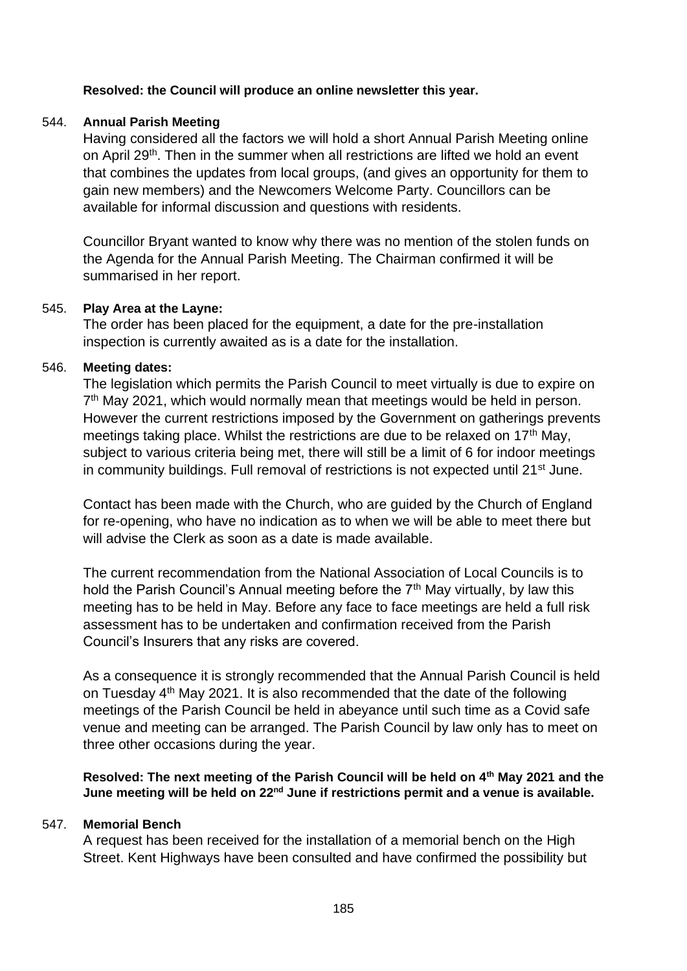# **Resolved: the Council will produce an online newsletter this year.**

## 544. **Annual Parish Meeting**

Having considered all the factors we will hold a short Annual Parish Meeting online on April 29<sup>th</sup>. Then in the summer when all restrictions are lifted we hold an event that combines the updates from local groups, (and gives an opportunity for them to gain new members) and the Newcomers Welcome Party. Councillors can be available for informal discussion and questions with residents.

Councillor Bryant wanted to know why there was no mention of the stolen funds on the Agenda for the Annual Parish Meeting. The Chairman confirmed it will be summarised in her report.

#### 545. **Play Area at the Layne:**

The order has been placed for the equipment, a date for the pre-installation inspection is currently awaited as is a date for the installation.

#### 546. **Meeting dates:**

The legislation which permits the Parish Council to meet virtually is due to expire on 7<sup>th</sup> May 2021, which would normally mean that meetings would be held in person. However the current restrictions imposed by the Government on gatherings prevents meetings taking place. Whilst the restrictions are due to be relaxed on 17<sup>th</sup> May, subject to various criteria being met, there will still be a limit of 6 for indoor meetings in community buildings. Full removal of restrictions is not expected until 21<sup>st</sup> June.

Contact has been made with the Church, who are guided by the Church of England for re-opening, who have no indication as to when we will be able to meet there but will advise the Clerk as soon as a date is made available.

The current recommendation from the National Association of Local Councils is to hold the Parish Council's Annual meeting before the  $7<sup>th</sup>$  May virtually, by law this meeting has to be held in May. Before any face to face meetings are held a full risk assessment has to be undertaken and confirmation received from the Parish Council's Insurers that any risks are covered.

As a consequence it is strongly recommended that the Annual Parish Council is held on Tuesday 4th May 2021. It is also recommended that the date of the following meetings of the Parish Council be held in abeyance until such time as a Covid safe venue and meeting can be arranged. The Parish Council by law only has to meet on three other occasions during the year.

**Resolved: The next meeting of the Parish Council will be held on 4th May 2021 and the June meeting will be held on 22nd June if restrictions permit and a venue is available.**

#### 547. **Memorial Bench**

A request has been received for the installation of a memorial bench on the High Street. Kent Highways have been consulted and have confirmed the possibility but